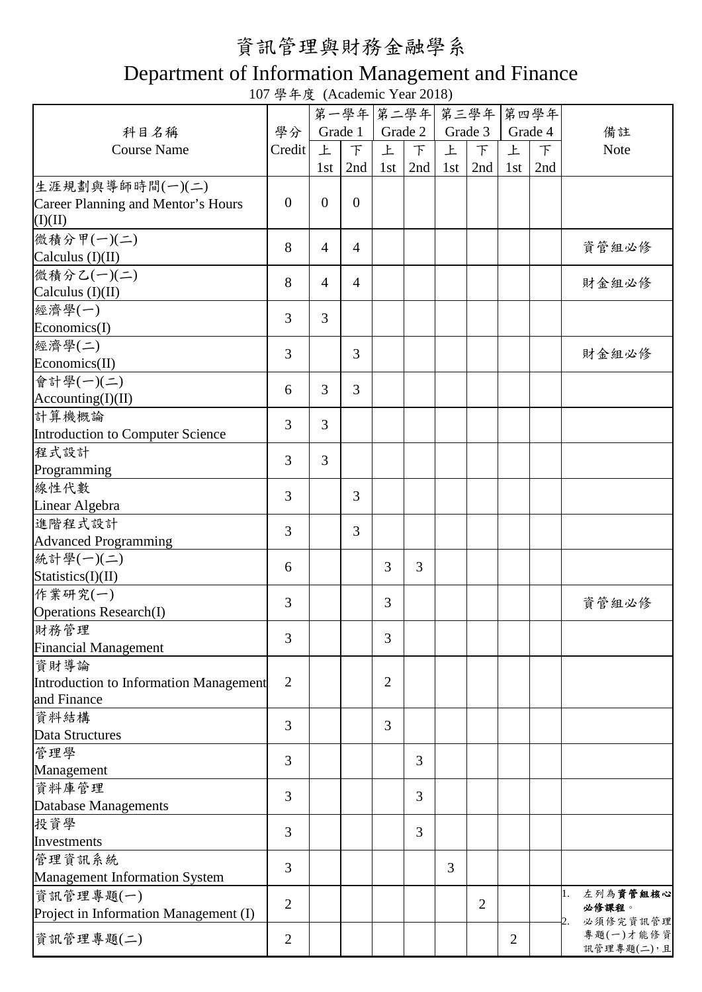## 資訊管理與財務金融學系

## Department of Information Management and Finance

107 學年度 (Academic Year 2018)

|                                         |                |                  | 第一學年 第二學年      |                |               |     | 第三學年           |     | 第四學年    |                |
|-----------------------------------------|----------------|------------------|----------------|----------------|---------------|-----|----------------|-----|---------|----------------|
|                                         |                |                  |                |                |               |     |                |     |         |                |
| 科目名稱                                    | 學分             |                  | Grade 1        |                | Grade 2       |     | Grade 3        |     | Grade 4 | 備註             |
| <b>Course Name</b>                      | Credit         | 上                | $\mathcal{F}$  | 上              | $\mathcal{F}$ | 上   | $\top$         | 上   | $\top$  | Note           |
|                                         |                | 1st              | 2nd            | 1st            | 2nd           | 1st | 2nd            | 1st | 2nd     |                |
| 生涯規劃與導師時間(一)(二)                         |                |                  |                |                |               |     |                |     |         |                |
| Career Planning and Mentor's Hours      | $\overline{0}$ | $\boldsymbol{0}$ | $\overline{0}$ |                |               |     |                |     |         |                |
| (I)(II)                                 |                |                  |                |                |               |     |                |     |         |                |
| 微積分甲(一)(二)                              | 8              | $\overline{4}$   |                |                |               |     |                |     |         |                |
| Calculus $(I)(II)$                      |                |                  | $\overline{4}$ |                |               |     |                |     |         | 資管組必修          |
| 微積分乙(一)(二)                              |                |                  |                |                |               |     |                |     |         |                |
| Calculus $(I)(II)$                      | 8              | $\overline{4}$   | $\overline{4}$ |                |               |     |                |     |         | 財金組必修          |
| 經濟學(一)                                  |                |                  |                |                |               |     |                |     |         |                |
| Economics(I)                            | 3              | 3                |                |                |               |     |                |     |         |                |
|                                         |                |                  |                |                |               |     |                |     |         |                |
| 經濟學(二)                                  | 3              |                  | 3              |                |               |     |                |     |         | 財金組必修          |
| Economics(II)                           |                |                  |                |                |               |     |                |     |         |                |
| 會計學(一)(二)                               | 6              | $\overline{3}$   | $\overline{3}$ |                |               |     |                |     |         |                |
| According(I)(II)                        |                |                  |                |                |               |     |                |     |         |                |
| 計算機概論                                   | 3              | 3                |                |                |               |     |                |     |         |                |
| <b>Introduction to Computer Science</b> |                |                  |                |                |               |     |                |     |         |                |
| 程式設計                                    |                |                  |                |                |               |     |                |     |         |                |
| Programming                             | $\overline{3}$ | 3                |                |                |               |     |                |     |         |                |
| 線性代數                                    |                |                  |                |                |               |     |                |     |         |                |
| Linear Algebra                          | 3              |                  | 3              |                |               |     |                |     |         |                |
| 進階程式設計                                  |                |                  |                |                |               |     |                |     |         |                |
|                                         | 3              |                  | 3              |                |               |     |                |     |         |                |
| <b>Advanced Programming</b>             |                |                  |                |                |               |     |                |     |         |                |
| 統計學(一)(二)                               | 6              |                  |                | 3              | 3             |     |                |     |         |                |
| Statistics(I)(II)                       |                |                  |                |                |               |     |                |     |         |                |
| 作業研究(一)                                 | 3              |                  |                | 3              |               |     |                |     |         | 資管組必修          |
| <b>Operations Research(I)</b>           |                |                  |                |                |               |     |                |     |         |                |
| 財務管理                                    |                |                  |                |                |               |     |                |     |         |                |
| <b>Financial Management</b>             | 3              |                  |                | 3              |               |     |                |     |         |                |
| 資財導論                                    |                |                  |                |                |               |     |                |     |         |                |
| Introduction to Information Management  | $\overline{2}$ |                  |                | $\overline{2}$ |               |     |                |     |         |                |
| and Finance                             |                |                  |                |                |               |     |                |     |         |                |
| 資料結構                                    |                |                  |                |                |               |     |                |     |         |                |
| <b>Data Structures</b>                  | 3              |                  |                | 3              |               |     |                |     |         |                |
|                                         |                |                  |                |                |               |     |                |     |         |                |
| 管理學                                     | 3              |                  |                |                | 3             |     |                |     |         |                |
| Management                              |                |                  |                |                |               |     |                |     |         |                |
| 資料庫管理                                   | 3              |                  |                |                | 3             |     |                |     |         |                |
| Database Managements                    |                |                  |                |                |               |     |                |     |         |                |
| 投資學                                     | 3              |                  |                |                | 3             |     |                |     |         |                |
| Investments                             |                |                  |                |                |               |     |                |     |         |                |
| 管理資訊系統                                  |                |                  |                |                |               |     |                |     |         |                |
| Management Information System           | 3              |                  |                |                |               | 3   |                |     |         |                |
| 資訊管理專題(一)                               |                |                  |                |                |               |     |                |     |         | 左列為資管組核心<br>1. |
|                                         | $\overline{2}$ |                  |                |                |               |     | $\overline{2}$ |     |         | 必修課程。          |
| Project in Information Management (I)   |                |                  |                |                |               |     |                |     |         | 必須修完資訊管理<br>2. |
| 資訊管理專題(二)                               | $\overline{2}$ |                  |                |                |               |     |                | 2   |         | 專題(一)才能修資      |
|                                         |                |                  |                |                |               |     |                |     |         | 訊管理專題(二),且     |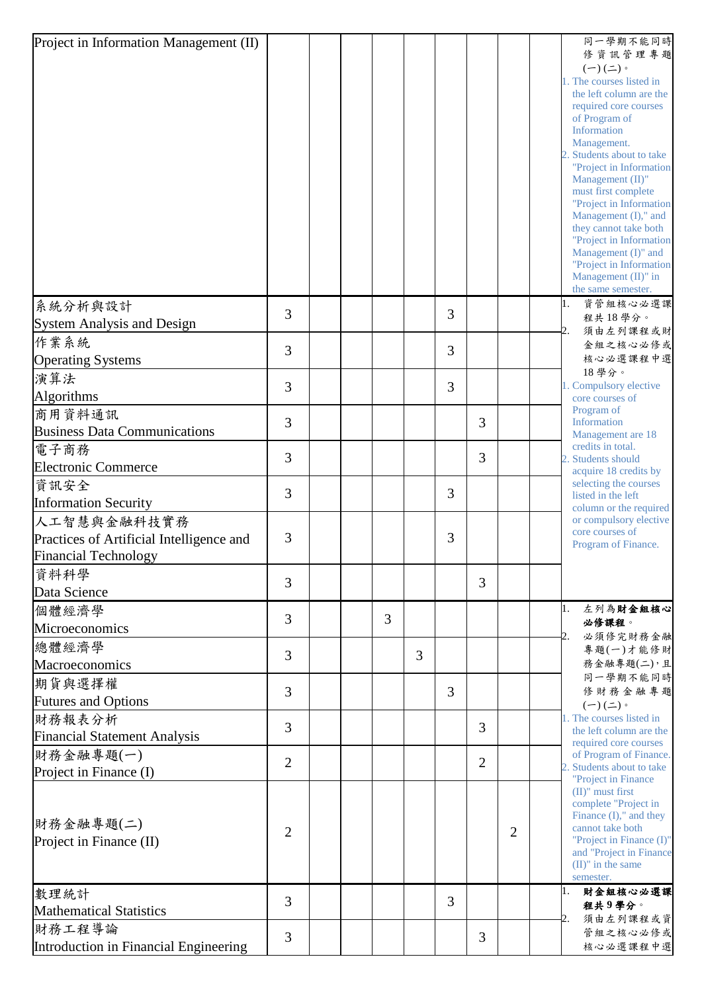| Project in Information Management (II)   |                |  |   |   |                |                |                |  | 同一學期不能同時                                                                                                           |
|------------------------------------------|----------------|--|---|---|----------------|----------------|----------------|--|--------------------------------------------------------------------------------------------------------------------|
|                                          |                |  |   |   |                |                |                |  | 修資訊管理專題<br>$(-)(\rightharpoonup)$ .                                                                                |
|                                          |                |  |   |   |                |                |                |  | 1. The courses listed in                                                                                           |
|                                          |                |  |   |   |                |                |                |  | the left column are the                                                                                            |
|                                          |                |  |   |   |                |                |                |  | required core courses<br>of Program of                                                                             |
|                                          |                |  |   |   |                |                |                |  | Information                                                                                                        |
|                                          |                |  |   |   |                |                |                |  | Management.                                                                                                        |
|                                          |                |  |   |   |                |                |                |  | 2. Students about to take<br>"Project in Information                                                               |
|                                          |                |  |   |   |                |                |                |  | Management (II)"                                                                                                   |
|                                          |                |  |   |   |                |                |                |  | must first complete<br>"Project in Information                                                                     |
|                                          |                |  |   |   |                |                |                |  | Management (I)," and                                                                                               |
|                                          |                |  |   |   |                |                |                |  | they cannot take both                                                                                              |
|                                          |                |  |   |   |                |                |                |  | "Project in Information<br>Management (I)" and                                                                     |
|                                          |                |  |   |   |                |                |                |  | "Project in Information                                                                                            |
|                                          |                |  |   |   |                |                |                |  | Management (II)" in<br>the same semester.                                                                          |
| 系統分析與設計                                  | 3              |  |   |   | 3              |                |                |  | 資管組核心必選課<br>1.                                                                                                     |
| <b>System Analysis and Design</b>        |                |  |   |   |                |                |                |  | 程共18學分。<br>須由左列課程或財<br>2.                                                                                          |
| 作業系統                                     | 3              |  |   |   | 3              |                |                |  | 金組之核心必修或                                                                                                           |
| <b>Operating Systems</b>                 |                |  |   |   |                |                |                |  | 核心必選課程中選                                                                                                           |
| 演算法                                      | 3              |  |   |   | 3              |                |                |  | 18學分。<br>1. Compulsory elective                                                                                    |
| Algorithms                               |                |  |   |   |                |                |                |  | core courses of                                                                                                    |
| 商用資料通訊                                   | 3              |  |   |   |                | 3              |                |  | Program of<br>Information<br>Management are 18<br>credits in total.<br>2. Students should<br>acquire 18 credits by |
| <b>Business Data Communications</b>      |                |  |   |   |                |                |                |  |                                                                                                                    |
| 電子商務                                     | 3              |  |   |   |                | 3              |                |  |                                                                                                                    |
| <b>Electronic Commerce</b>               |                |  |   |   |                |                |                |  |                                                                                                                    |
| 資訊安全                                     | 3              |  |   |   | 3              |                |                |  | selecting the courses                                                                                              |
| <b>Information Security</b>              |                |  |   |   |                |                |                |  | listed in the left<br>column or the required                                                                       |
| 人工智慧與金融科技實務                              |                |  |   |   |                |                |                |  | or compulsory elective                                                                                             |
| Practices of Artificial Intelligence and | 3              |  |   |   | 3              |                |                |  | core courses of<br>Program of Finance.                                                                             |
| <b>Financial Technology</b>              |                |  |   |   |                |                |                |  |                                                                                                                    |
| 資料科學                                     | 3              |  |   |   |                | 3              |                |  |                                                                                                                    |
| Data Science                             |                |  |   |   |                |                |                |  |                                                                                                                    |
| 個體經濟學                                    | 3              |  | 3 |   |                |                |                |  | 左列為財金組核心<br>1.                                                                                                     |
| Microeconomics                           |                |  |   |   |                |                |                |  | 必修課程。<br>必須修完財務金融                                                                                                  |
| 總體經濟學                                    | 3              |  |   | 3 |                |                |                |  | 專題(一)才能修財                                                                                                          |
| Macroeconomics                           |                |  |   |   |                |                |                |  | 務金融專題(二),且                                                                                                         |
| 期貨與選擇權                                   | 3              |  |   |   | $\overline{3}$ |                |                |  | 同一學期不能同時<br>修財務金融專題                                                                                                |
| <b>Futures and Options</b>               |                |  |   |   |                |                |                |  | $(-)(\underline{-}) \circ$                                                                                         |
| 財務報表分析                                   | 3              |  |   |   |                | 3              |                |  | 1. The courses listed in                                                                                           |
| <b>Financial Statement Analysis</b>      |                |  |   |   |                |                |                |  | the left column are the<br>required core courses                                                                   |
| 財務金融專題(一)                                | $\overline{2}$ |  |   |   |                | $\overline{2}$ |                |  | of Program of Finance.                                                                                             |
| Project in Finance (I)                   |                |  |   |   |                |                |                |  | 2. Students about to take<br>"Project in Finance                                                                   |
|                                          |                |  |   |   |                |                |                |  | $(II)$ " must first                                                                                                |
|                                          |                |  |   |   |                |                |                |  | complete "Project in<br>Finance $(I)$ ," and they                                                                  |
| 財務金融專題(二)                                | $\overline{2}$ |  |   |   |                |                | $\overline{2}$ |  | cannot take both                                                                                                   |
| Project in Finance (II)                  |                |  |   |   |                |                |                |  | "Project in Finance (I)"<br>and "Project in Finance                                                                |
|                                          |                |  |   |   |                |                |                |  | $(II)$ " in the same                                                                                               |
|                                          |                |  |   |   |                |                |                |  | semester.<br>財金組核心必選課<br>1.                                                                                        |
| 數理統計<br><b>Mathematical Statistics</b>   | 3              |  |   |   | $\overline{3}$ |                |                |  | 程共9學分。                                                                                                             |
| 財務工程導論                                   |                |  |   |   |                |                |                |  | 須由左列課程或資<br>2.                                                                                                     |
| Introduction in Financial Engineering    | 3              |  |   |   |                | 3              |                |  | 管組之核心必修或<br>核心必選課程中選                                                                                               |
|                                          |                |  |   |   |                |                |                |  |                                                                                                                    |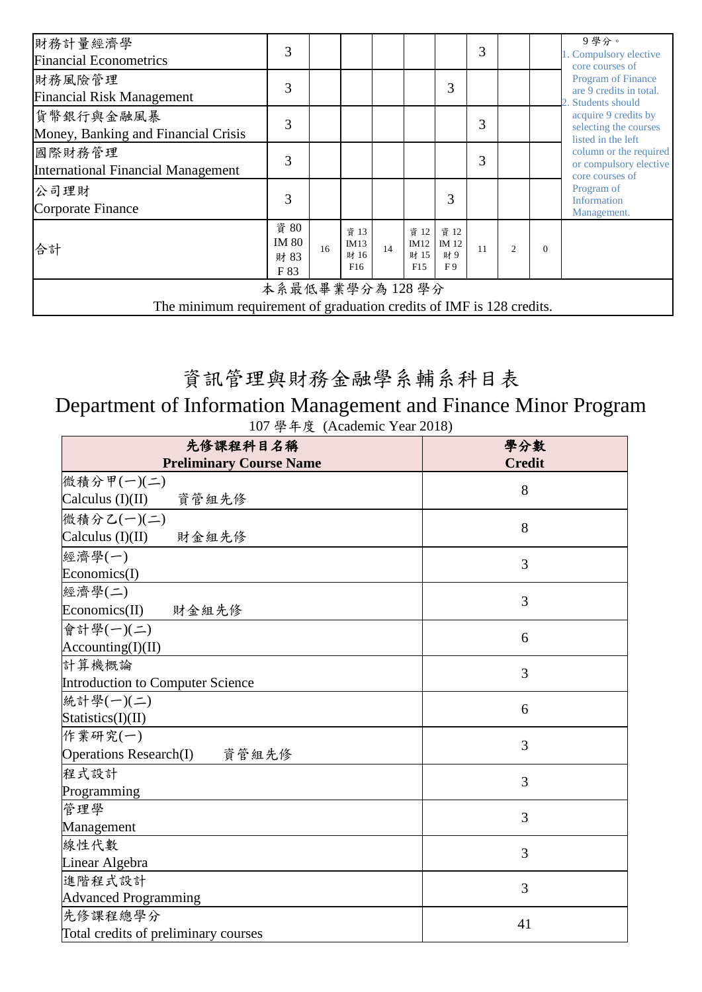| 財務計量經濟學<br><b>Financial Econometrics</b>                                               | 3                                    |    |                             |    |                             |                           | 3  |               |          | 9學分。<br>1. Compulsory elective<br>core courses of                                                                                                 |
|----------------------------------------------------------------------------------------|--------------------------------------|----|-----------------------------|----|-----------------------------|---------------------------|----|---------------|----------|---------------------------------------------------------------------------------------------------------------------------------------------------|
| 財務風險管理<br><b>Financial Risk Management</b>                                             | 3                                    |    |                             |    |                             | 3                         |    |               |          | <b>Program of Finance</b><br>are 9 credits in total.<br>2. Students should<br>acquire 9 credits by<br>selecting the courses<br>listed in the left |
| 貨幣銀行與金融風暴<br>Money, Banking and Financial Crisis                                       | 3                                    |    |                             |    |                             |                           | 3  |               |          |                                                                                                                                                   |
| 國際財務管理<br><b>International Financial Management</b>                                    | 3                                    |    |                             |    |                             |                           | 3  |               |          | column or the required<br>or compulsory elective<br>core courses of                                                                               |
| 公司理財<br>Corporate Finance                                                              | 3                                    |    |                             |    |                             | 3                         |    |               |          | Program of<br><b>Information</b><br>Management.                                                                                                   |
| 合計                                                                                     | 資 80<br><b>IM 80</b><br>財 83<br>F 83 | 16 | 資 13<br>IM13<br>財 16<br>F16 | 14 | 資 12<br>IM12<br>財 15<br>F15 | 資 12<br>IM 12<br>財9<br>F9 | 11 | $\mathcal{L}$ | $\Omega$ |                                                                                                                                                   |
| 本系最低畢業學分為128學分<br>The minimum requirement of graduation credits of IMF is 128 credits. |                                      |    |                             |    |                             |                           |    |               |          |                                                                                                                                                   |
|                                                                                        |                                      |    |                             |    |                             |                           |    |               |          |                                                                                                                                                   |

## 資訊管理與財務金融學系輔系科目表

## Department of Information Management and Finance Minor Program 107 學年度 (Academic Year 2018)

| 先修課程科目名稱                               | 學分數           |
|----------------------------------------|---------------|
| <b>Preliminary Course Name</b>         | <b>Credit</b> |
| 微積分甲(一)(二)                             | 8             |
| Calculus $(I)(II)$<br>資管組先修            |               |
| 微積分乙(一)(二)                             | 8             |
| Calculus $(I)(II)$<br>財金組先修            |               |
| 經濟學(一)                                 | 3             |
| Economics(I)                           |               |
| 經濟學(二)                                 | 3             |
| Economics(II) 財金組先修                    |               |
| 會計學(一)(二)                              | 6             |
| $\text{Accounting(I)(II)}$             |               |
| 計算機概論                                  | 3             |
| Introduction to Computer Science       |               |
| 統計學(一)(二)                              | 6             |
| Statistics(I)(II)                      |               |
| 作業研究(一)                                | 3             |
| <b>Operations Research(I)</b><br>資管組先修 |               |
| 程式設計                                   | 3             |
| Programming                            |               |
| 管理學                                    | 3             |
| Management                             |               |
| 線性代數                                   | 3             |
| Linear Algebra                         |               |
| 進階程式設計                                 | 3             |
| <b>Advanced Programming</b>            |               |
| 先修課程總學分                                | 41            |
| Total credits of preliminary courses   |               |